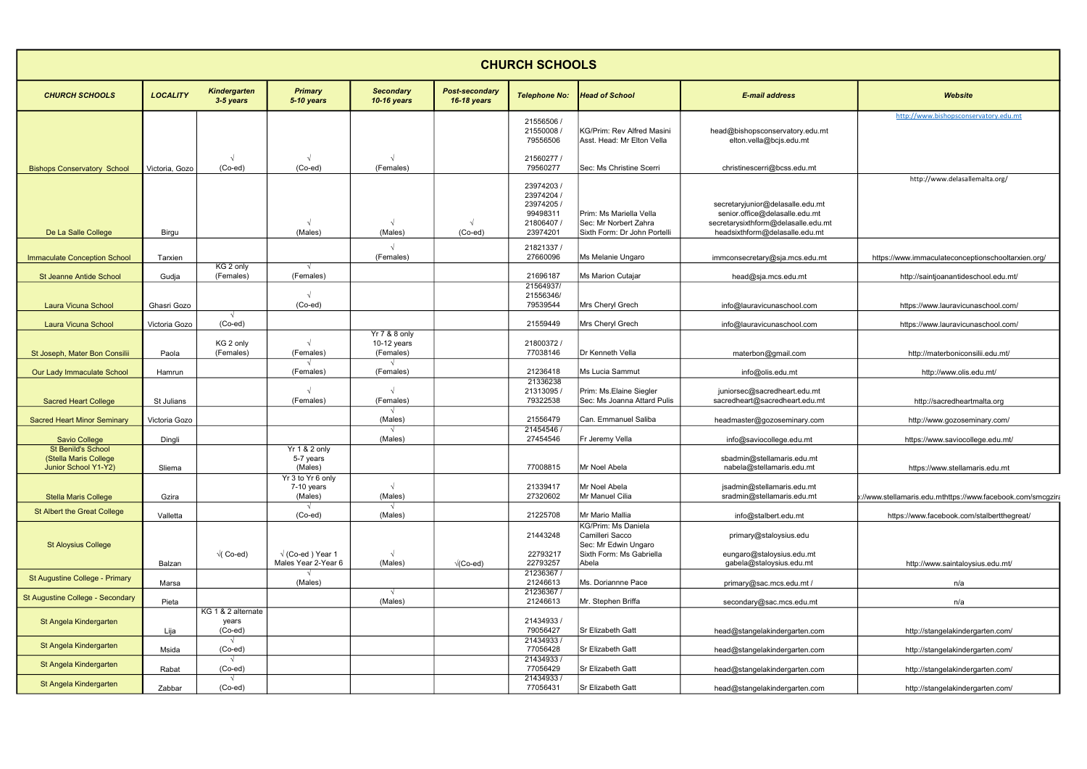| <b>CHURCH SCHOOLS</b>                                                      |                 |                                        |                                                |                                           |                                             |                                                                        |                                                                                                     |                                                                                                                                             |                                                              |
|----------------------------------------------------------------------------|-----------------|----------------------------------------|------------------------------------------------|-------------------------------------------|---------------------------------------------|------------------------------------------------------------------------|-----------------------------------------------------------------------------------------------------|---------------------------------------------------------------------------------------------------------------------------------------------|--------------------------------------------------------------|
| <b>CHURCH SCHOOLS</b>                                                      | <b>LOCALITY</b> | <b>Kindergarten</b><br>3-5 years       | <b>Primary</b><br>5-10 years                   | <b>Secondary</b><br><b>10-16 years</b>    | <b>Post-secondary</b><br><b>16-18 years</b> | <b>Telephone No:</b>                                                   | <b>Head of School</b>                                                                               | <b>E-mail address</b>                                                                                                                       | <b>Website</b>                                               |
|                                                                            |                 |                                        |                                                |                                           |                                             | 21556506<br>21550008<br>79556506                                       | KG/Prim: Rev Alfred Masini<br>Asst. Head: Mr Elton Vella                                            | head@bishopsconservatory.edu.mt<br>elton.vella@bcjs.edu.mt                                                                                  | http://www.bishopsconservatory.edu.mt                        |
| <b>Bishops Conservatory School</b>                                         | Victoria. Gozo  | $(Co$ -ed $)$                          | $(Co$ -ed)                                     | (Females)                                 |                                             | 21560277 /<br>79560277                                                 | Sec: Ms Christine Scerri                                                                            | christinescerri@bcss.edu.mt                                                                                                                 | http://www.delasallemalta.org/                               |
| De La Salle College                                                        | Birgu           |                                        | (Males)                                        | (Males)                                   | $(Co$ -ed)                                  | 23974203<br>23974204 /<br>23974205<br>99498311<br>21806407<br>23974201 | Prim: Ms Mariella Vella<br>Sec: Mr Norbert Zahra<br>Sixth Form: Dr John Portelli                    | secretaryjunior@delasalle.edu.mt<br>senior.office@delasalle.edu.mt<br>secretarysixthform@delasalle.edu.mt<br>headsixthform@delasalle.edu.mt |                                                              |
| <b>Immaculate Conception School</b>                                        | Tarxien         |                                        |                                                | (Females)                                 |                                             | 21821337 /<br>27660096                                                 | Ms Melanie Ungaro                                                                                   | immconsecretary@sja.mcs.edu.mt                                                                                                              | https://www.immaculateconceptionschooltarxien.org/           |
| <b>St Jeanne Antide School</b>                                             | Gudja           | KG 2 only<br>(Females)                 | $\sim$<br>(Females)                            |                                           |                                             | 21696187                                                               | Ms Marion Cutajar                                                                                   | head@sja.mcs.edu.mt                                                                                                                         | http://saintjoanantideschool.edu.mt/                         |
| Laura Vicuna School                                                        | Ghasri Gozo     |                                        | $(Co$ -ed)                                     |                                           |                                             | 21564937/<br>21556346/<br>79539544                                     | Mrs Cheryl Grech                                                                                    | info@lauravicunaschool.com                                                                                                                  | https://www.lauravicunaschool.com/                           |
| <b>Laura Vicuna School</b>                                                 | Victoria Gozo   | $\sqrt{ }$<br>$(Co$ -ed $)$            |                                                |                                           |                                             | 21559449                                                               | Mrs Cheryl Grech                                                                                    | info@lauravicunaschool.com                                                                                                                  | https://www.lauravicunaschool.com/                           |
| St Joseph, Mater Bon Consilii                                              | Paola           | KG 2 only<br>(Females)                 | (Females)                                      | Yr 7 & 8 only<br>10-12 years<br>(Females) |                                             | 21800372 /<br>77038146                                                 | Dr Kenneth Vella                                                                                    | materbon@gmail.com                                                                                                                          | http://materboniconsilii.edu.mt/                             |
| Our Lady Immaculate School                                                 | Hamrun          |                                        | (Females)                                      | (Females)                                 |                                             | 21236418                                                               | Ms Lucia Sammut                                                                                     | info@olis.edu.mt                                                                                                                            | http://www.olis.edu.mt/                                      |
| <b>Sacred Heart College</b>                                                | St Julians      |                                        | (Females)                                      | (Females)                                 |                                             | 21336238<br>21313095<br>79322538                                       | Prim: Ms.Elaine Siegler<br>Sec: Ms Joanna Attard Pulis                                              | juniorsec@sacredheart.edu.mt<br>sacredheart@sacredheart.edu.mt                                                                              | http://sacredheartmalta.org                                  |
| <b>Sacred Heart Minor Seminary</b>                                         | Victoria Gozo   |                                        |                                                | (Males)                                   |                                             | 21556479                                                               | Can. Emmanuel Saliba                                                                                | headmaster@gozoseminary.com                                                                                                                 | http://www.gozoseminary.com/                                 |
| <b>Savio College</b>                                                       | Dingli          |                                        |                                                | (Males)                                   |                                             | 21454546 /<br>27454546                                                 | Fr Jeremy Vella                                                                                     | info@saviocollege.edu.mt                                                                                                                    | https://www.saviocollege.edu.mt/                             |
| <b>St Benild's School</b><br>(Stella Maris College<br>Junior School Y1-Y2) | Sliema          |                                        | Yr 1 & 2 only<br>5-7 years<br>(Males)          |                                           |                                             | 77008815                                                               | Mr Noel Abela                                                                                       | sbadmin@stellamaris.edu.mt<br>nabela@stellamaris.edu.mt                                                                                     | https://www.stellamaris.edu.mt                               |
| <b>Stella Maris College</b>                                                | Gzira           |                                        | Yr 3 to Yr 6 only<br>7-10 years<br>(Males)     | (Males)                                   |                                             | 21339417<br>27320602                                                   | Mr Noel Abela<br>Mr Manuel Cilia                                                                    | jsadmin@stellamaris.edu.mt<br>sradmin@stellamaris.edu.mt                                                                                    | k://www.stellamaris.edu.mthttps://www.facebook.com/smcgziraغ |
| St Albert the Great College                                                | Valletta        |                                        | $(Co$ -ed $)$                                  | (Males)                                   |                                             | 21225708                                                               | Mr Mario Mallia                                                                                     | info@stalbert.edu.mt                                                                                                                        | https://www.facebook.com/stalbertthegreat/                   |
| <b>St Aloysius College</b>                                                 | Balzan          | $\sqrt{C}$ Co-ed)                      | $\sqrt{(Co-ed)}$ Year 1<br>Males Year 2-Year 6 | (Males)                                   | $\sqrt{(Co-ed)}$                            | 21443248<br>22793217<br>22793257                                       | KG/Prim: Ms Daniela<br>Camilleri Sacco<br>Sec: Mr Edwin Ungaro<br>Sixth Form: Ms Gabriella<br>Abela | primary@staloysius.edu<br>eungaro@staloysius.edu.mt<br>gabela@staloysius.edu.mt                                                             | http://www.saintaloysius.edu.mt/                             |
| St Augustine College - Primary                                             | Marsa           |                                        | (Males)                                        |                                           |                                             | 21236367<br>21246613                                                   | Ms. Doriannne Pace                                                                                  | primary@sac.mcs.edu.mt /                                                                                                                    | n/a                                                          |
| St Augustine College - Secondary                                           | Pieta           |                                        |                                                | $\sqrt{ }$<br>(Males)                     |                                             | 21236367 /<br>21246613                                                 | Mr. Stephen Briffa                                                                                  | secondary@sac.mcs.edu.mt                                                                                                                    | n/a                                                          |
| St Angela Kindergarten                                                     | Lija            | KG 1 & 2 alternate<br>years<br>(Co-ed) |                                                |                                           |                                             | 21434933 /<br>79056427                                                 | Sr Elizabeth Gatt                                                                                   | head@stangelakindergarten.com                                                                                                               | http://stangelakindergarten.com/                             |
| St Angela Kindergarten                                                     | Msida           | $\sqrt{ }$<br>(Co-ed)                  |                                                |                                           |                                             | 21434933/<br>77056428                                                  | Sr Elizabeth Gatt                                                                                   | head@stangelakindergarten.com                                                                                                               | http://stangelakindergarten.com/                             |
| St Angela Kindergarten                                                     | Rabat           | $(Co-ed)$                              |                                                |                                           |                                             | 21434933/<br>77056429                                                  | Sr Elizabeth Gatt                                                                                   | head@stangelakindergarten.com                                                                                                               | http://stangelakindergarten.com/                             |
| St Angela Kindergarten                                                     | Zabbar          | $(Co-ed)$                              |                                                |                                           |                                             | 21434933/<br>77056431                                                  | Sr Elizabeth Gatt                                                                                   | head@stangelakindergarten.com                                                                                                               | http://stangelakindergarten.com/                             |